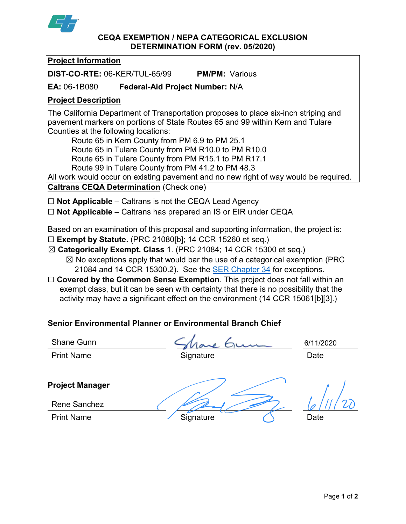

### **CEQA EXEMPTION / NEPA CATEGORICAL EXCLUSION DETERMINATION FORM (rev. 05/2020)**

## **Project Information**

**DIST-CO-RTE:** 06-KER/TUL-65/99 **PM/PM:** Various

**EA:** 06-1B080 **Federal-Aid Project Number:** N/A

# **Project Description**

The California Department of Transportation proposes to place six-inch striping and pavement markers on portions of State Routes 65 and 99 within Kern and Tulare Counties at the following locations:

Route 65 in Kern County from PM 6.9 to PM 25.1 Route 65 in Tulare County from PM R10.0 to PM R10.0

Route 65 in Tulare County from PM R15.1 to PM R17.1

Route 99 in Tulare County from PM 41.2 to PM 48.3

All work would occur on existing pavement and no new right of way would be required.

**Caltrans CEQA Determination** (Check one)

☐ **Not Applicable** – Caltrans is not the CEQA Lead Agency

☐ **Not Applicable** – Caltrans has prepared an IS or EIR under CEQA

Based on an examination of this proposal and supporting information, the project is:

- ☐ **Exempt by Statute.** (PRC 21080[b]; 14 CCR 15260 et seq.)
- ☒ **Categorically Exempt. Class** 1. (PRC 21084; 14 CCR 15300 et seq.)
	- $\boxtimes$  No exceptions apply that would bar the use of a categorical exemption (PRC 21084 and 14 CCR 15300.2). See the [SER Chapter 34](https://dot.ca.gov/programs/environmental-analysis/standard-environmental-reference-ser/volume-1-guidance-for-compliance/ch-34-exemptions-to-ceqa#except) for exceptions.
- □ **Covered by the Common Sense Exemption**. This project does not fall within an exempt class, but it can be seen with certainty that there is no possibility that the activity may have a significant effect on the environment (14 CCR 15061[b][3].)

# **Senior Environmental Planner or Environmental Branch Chief**

Shane Gunn

Print Name **Signature Construction Construction** Date

6/11/2020

**Project Manager**

Rene Sanchez

Print Name Signature